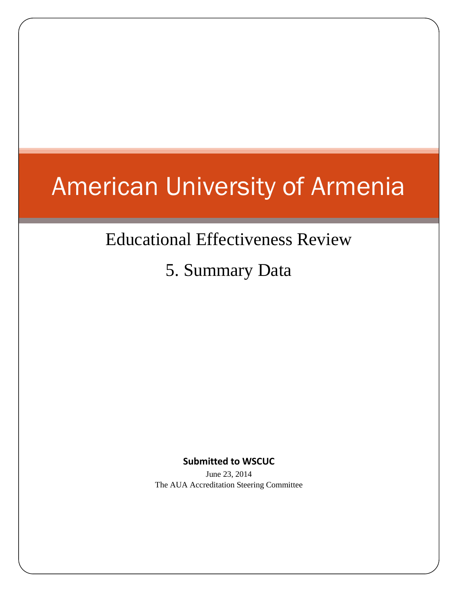# American University of Armenia

# Educational Effectiveness Review

5. Summary Data

**Submitted to WSCUC**

June 23, 2014 The AUA Accreditation Steering Committee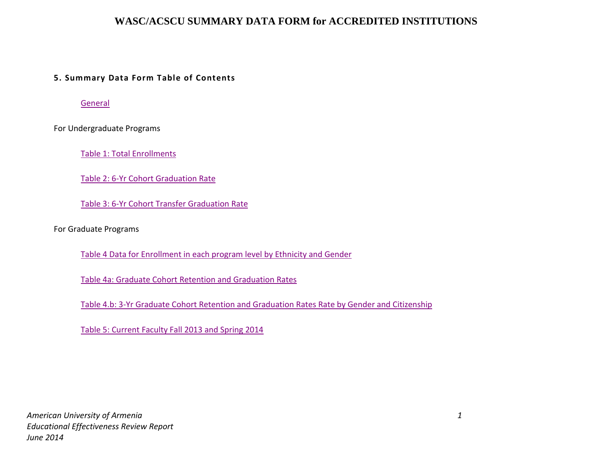#### **5. Summary Data Form Table of Contents**

**[General](#page-2-0)** 

For Undergraduate Programs

[Table 1: Total Enrollments](#page-2-1)

[Table 2: 6-Yr Cohort Graduation Rate](#page-3-0) 

[Table 3: 6-Yr Cohort Transfer Graduation Rate](#page-3-1)

For Graduate Programs

[Table 4 Data for Enrollment in each program level by Ethnicity and Gender](#page-4-0)

[Table 4a: Graduate Cohort Retention and Graduation Rates](#page-4-1)

[Table 4.b: 3-Yr Graduate Cohort Retention and Graduation Rates Rate by Gender and Citizenship](#page-5-0)

[Table 5: Current Faculty Fall 2013 and Spring 2014](#page-6-0)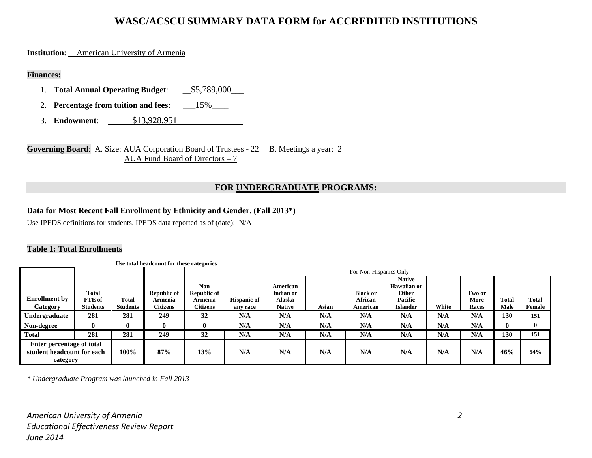<span id="page-2-0"></span>**Institution:** \_\_American University of Armenia

#### **Finances:**

- 1. **Total Annual Operating Budget:**  $\underline{\hspace{1em}} 55,789,000$
- 2. **Percentage from tuition and fees:** \_\_\_15%\_\_\_\_
- 3. **Endowment**: \_\_\_\_\_\_\$13,928,951\_\_\_\_\_\_\_\_\_\_\_\_\_\_\_\_

**Governing Board:** A. Size: <u>AUA Corporation Board of Trustees - 22</u> B. Meetings a year: 2 AUA Fund Board of Directors – 7

#### **FOR UNDERGRADUATE PROGRAMS:**

#### **Data for Most Recent Fall Enrollment by Ethnicity and Gender. (Fall 2013\*)**

Use IPEDS definitions for students. IPEDS data reported as of (date): N/A

#### <span id="page-2-1"></span>**Table 1: Total Enrollments**

|                                                                     |                           |                                 | Use total headcount for these categories |                                  |                                |                              |                        |                     |                                              |       |               |                      |                        |
|---------------------------------------------------------------------|---------------------------|---------------------------------|------------------------------------------|----------------------------------|--------------------------------|------------------------------|------------------------|---------------------|----------------------------------------------|-------|---------------|----------------------|------------------------|
|                                                                     |                           |                                 |                                          |                                  |                                |                              | For Non-Hispanics Only |                     |                                              |       |               |                      |                        |
| <b>Enrollment by</b>                                                | Total                     |                                 | <b>Republic of</b>                       | <b>Non</b><br><b>Republic of</b> |                                | American<br><b>Indian or</b> |                        | <b>Black or</b>     | <b>Native</b><br><b>Hawaiian or</b><br>Other |       | Two or        |                      |                        |
| Category                                                            | FTE of<br><b>Students</b> | <b>Total</b><br><b>Students</b> | Armenia<br><b>Citizens</b>               | Armenia<br><b>Citizens</b>       | <b>Hispanic of</b><br>any race | Alaska<br><b>Native</b>      | Asian                  | African<br>American | Pacific<br><b>Islander</b>                   | White | More<br>Races | <b>Total</b><br>Male | <b>Total</b><br>Female |
| Undergraduate                                                       | 281                       | 281                             | 249                                      | 32                               | N/A                            | N/A                          | N/A                    | N/A                 | N/A                                          | N/A   | N/A           | 130                  | 151                    |
| Non-degree                                                          | $\mathbf{0}$              | $\mathbf{0}$                    | O                                        |                                  | N/A                            | N/A                          | N/A                    | N/A                 | N/A                                          | N/A   | N/A           | $_{0}$               | $\bf{0}$               |
| <b>Total</b>                                                        | 281                       | 281                             | 249                                      | 32                               | N/A                            | N/A                          | N/A                    | N/A                 | N/A                                          | N/A   | N/A           | 130                  | 151                    |
| Enter percentage of total<br>student headcount for each<br>category |                           | 100%                            | 87%                                      | 13%                              | N/A                            | N/A                          | N/A                    | N/A                 | N/A                                          | N/A   | N/A           | 46%                  | 54%                    |

*\* Undergraduate Program was launched in Fall 2013*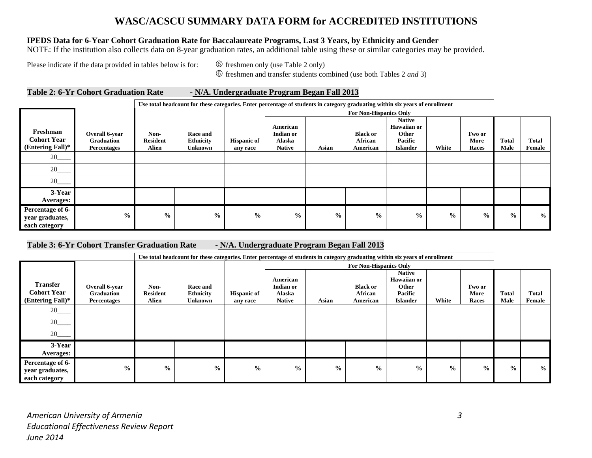#### **IPEDS Data for 6-Year Cohort Graduation Rate for Baccalaureate Programs, Last 3 Years, by Ethnicity and Gender**

NOTE: If the institution also collects data on 8-year graduation rates, an additional table using these or similar categories may be provided.

Please indicate if the data provided in tables below is for:  $\circled{6}$  freshmen only (use Table 2 only)

freshmen and transfer students combined (use both Tables 2 *and* 3)

#### <span id="page-3-0"></span>**Table 2: 6-Yr Cohort Graduation Rate - N/A. Undergraduate Program Began Fall 2013**

|                                                             |                                                           |                                  | Use total headcount for these categories. Enter percentage of students in category graduating within six years of enrollment |                                |                                                         |               |                                               |                                                                            |               |                         |                      |                        |
|-------------------------------------------------------------|-----------------------------------------------------------|----------------------------------|------------------------------------------------------------------------------------------------------------------------------|--------------------------------|---------------------------------------------------------|---------------|-----------------------------------------------|----------------------------------------------------------------------------|---------------|-------------------------|----------------------|------------------------|
|                                                             |                                                           | For Non-Hispanics Only           |                                                                                                                              |                                |                                                         |               |                                               |                                                                            |               |                         |                      |                        |
| Freshman<br><b>Cohort Year</b><br>(Entering Fall)*          | Overall 6-year<br><b>Graduation</b><br><b>Percentages</b> | Non-<br><b>Resident</b><br>Alien | <b>Race and</b><br><b>Ethnicity</b><br>Unknown                                                                               | <b>Hispanic of</b><br>any race | American<br><b>Indian or</b><br>Alaska<br><b>Native</b> | Asian         | <b>Black or</b><br><b>African</b><br>American | <b>Native</b><br><b>Hawaiian or</b><br>Other<br>Pacific<br><b>Islander</b> | White         | Two or<br>More<br>Races | <b>Total</b><br>Male | <b>Total</b><br>Female |
| $20$ <sub>——</sub>                                          |                                                           |                                  |                                                                                                                              |                                |                                                         |               |                                               |                                                                            |               |                         |                      |                        |
| $20$ <sub>___</sub>                                         |                                                           |                                  |                                                                                                                              |                                |                                                         |               |                                               |                                                                            |               |                         |                      |                        |
|                                                             |                                                           |                                  |                                                                                                                              |                                |                                                         |               |                                               |                                                                            |               |                         |                      |                        |
| 3-Year<br>Averages:                                         |                                                           |                                  |                                                                                                                              |                                |                                                         |               |                                               |                                                                            |               |                         |                      |                        |
| <b>Percentage of 6-</b><br>year graduates,<br>each category | $\frac{6}{10}$                                            | $\frac{0}{0}$                    | $\frac{0}{0}$                                                                                                                | $\frac{0}{0}$                  | $\frac{0}{0}$                                           | $\frac{6}{6}$ | $\frac{0}{0}$                                 | $\frac{0}{0}$                                                              | $\frac{0}{0}$ | $\frac{0}{0}$           | $\frac{0}{0}$        | $\frac{0}{0}$          |

#### <span id="page-3-1"></span>**Table 3: 6-Yr Cohort Transfer Graduation Rate - N/A. Undergraduate Program Began Fall 2013**

|                                                              |                                                           |                                  |                                                       |                                |                                                         | Use total headcount for these categories. Enter percentage of students in category graduating within six years of enrollment |                                        |                                                                            |               |                         |                      |                 |
|--------------------------------------------------------------|-----------------------------------------------------------|----------------------------------|-------------------------------------------------------|--------------------------------|---------------------------------------------------------|------------------------------------------------------------------------------------------------------------------------------|----------------------------------------|----------------------------------------------------------------------------|---------------|-------------------------|----------------------|-----------------|
|                                                              |                                                           |                                  |                                                       |                                |                                                         |                                                                                                                              | <b>For Non-Hispanics Only</b>          |                                                                            |               |                         |                      |                 |
| <b>Transfer</b><br><b>Cohort Year</b><br>(Entering Fall) $*$ | Overall 6-year<br><b>Graduation</b><br><b>Percentages</b> | Non-<br><b>Resident</b><br>Alien | <b>Race and</b><br><b>Ethnicity</b><br><b>Unknown</b> | <b>Hispanic of</b><br>any race | American<br><b>Indian or</b><br>Alaska<br><b>Native</b> | Asian                                                                                                                        | <b>Black or</b><br>African<br>American | <b>Native</b><br><b>Hawaiian or</b><br>Other<br>Pacific<br><b>Islander</b> | White         | Two or<br>More<br>Races | <b>Total</b><br>Male | Total<br>Female |
| $20$ <sub>___</sub>                                          |                                                           |                                  |                                                       |                                |                                                         |                                                                                                                              |                                        |                                                                            |               |                         |                      |                 |
| $20$ <sub>—</sub>                                            |                                                           |                                  |                                                       |                                |                                                         |                                                                                                                              |                                        |                                                                            |               |                         |                      |                 |
| $20$ <sub>___</sub>                                          |                                                           |                                  |                                                       |                                |                                                         |                                                                                                                              |                                        |                                                                            |               |                         |                      |                 |
| 3-Year<br><b>Averages:</b>                                   |                                                           |                                  |                                                       |                                |                                                         |                                                                                                                              |                                        |                                                                            |               |                         |                      |                 |
| Percentage of 6-<br>year graduates,<br>each category         | $\frac{0}{0}$                                             | $\frac{0}{0}$                    | $\frac{6}{9}$                                         | $\frac{6}{9}$                  | $\frac{6}{6}$                                           | $\frac{0}{0}$                                                                                                                | $\frac{6}{9}$                          | $\frac{0}{0}$                                                              | $\frac{6}{9}$ | $\%$                    | $\frac{6}{10}$       | $\frac{6}{9}$   |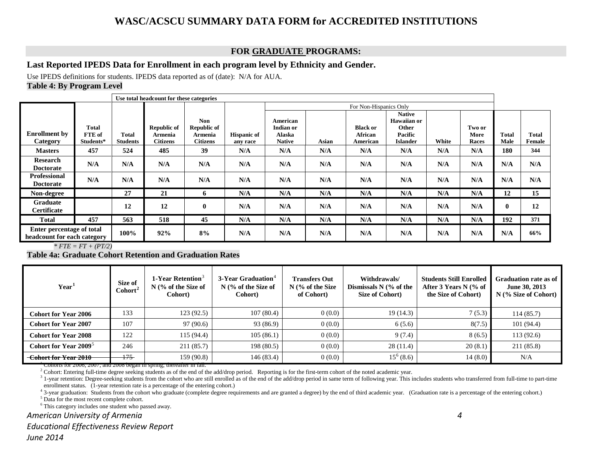#### <span id="page-4-7"></span><span id="page-4-6"></span><span id="page-4-5"></span><span id="page-4-4"></span><span id="page-4-3"></span><span id="page-4-2"></span>**FOR GRADUATE PROGRAMS:**

#### **Last Reported IPEDS Data for Enrollment in each program level by Ethnicity and Gender.**

<span id="page-4-0"></span>Use IPEDS definitions for students. IPEDS data reported as of (date): N/A for AUA. **Table 4: By Program Level**

|                                                          |                                     |                          | Use total headcount for these categories         |                                                                |                                |                                                         |       |                                               |                                                                            |       |                         |                      |                 |
|----------------------------------------------------------|-------------------------------------|--------------------------|--------------------------------------------------|----------------------------------------------------------------|--------------------------------|---------------------------------------------------------|-------|-----------------------------------------------|----------------------------------------------------------------------------|-------|-------------------------|----------------------|-----------------|
|                                                          |                                     |                          |                                                  |                                                                |                                |                                                         |       | For Non-Hispanics Only                        |                                                                            |       |                         |                      |                 |
| <b>Enrollment</b> by<br>Category                         | <b>Total</b><br>FTE of<br>Students* | Total<br><b>Students</b> | <b>Republic of</b><br>Armenia<br><b>Citizens</b> | <b>Non</b><br><b>Republic of</b><br>Armenia<br><b>Citizens</b> | <b>Hispanic of</b><br>any race | American<br>Indian or<br><b>Alaska</b><br><b>Native</b> | Asian | <b>Black or</b><br><b>African</b><br>American | <b>Native</b><br><b>Hawaiian or</b><br>Other<br>Pacific<br><b>Islander</b> | White | Two or<br>More<br>Races | <b>Total</b><br>Male | Total<br>Female |
| <b>Masters</b>                                           | 457                                 | 524                      | 485                                              | 39                                                             | N/A                            | N/A                                                     | N/A   | N/A                                           | N/A                                                                        | N/A   | N/A                     | 180                  | 344             |
| Research<br><b>Doctorate</b>                             | N/A                                 | N/A                      | N/A                                              | N/A                                                            | N/A                            | N/A                                                     | N/A   | N/A                                           | N/A                                                                        | N/A   | N/A                     | N/A                  | N/A             |
| <b>Professional</b><br><b>Doctorate</b>                  | N/A                                 | N/A                      | N/A                                              | N/A                                                            | N/A                            | N/A                                                     | N/A   | N/A                                           | N/A                                                                        | N/A   | N/A                     | N/A                  | N/A             |
| Non-degree                                               |                                     | 27                       | 21                                               | 6                                                              | N/A                            | N/A                                                     | N/A   | N/A                                           | N/A                                                                        | N/A   | N/A                     | 12                   | 15              |
| <b>Graduate</b><br><b>Certificate</b>                    |                                     | 12                       | 12                                               | $\mathbf 0$                                                    | N/A                            | N/A                                                     | N/A   | N/A                                           | N/A                                                                        | N/A   | N/A                     | $\mathbf{0}$         | 12              |
| <b>Total</b>                                             | 457                                 | 563                      | 518                                              | 45                                                             | N/A                            | N/A                                                     | N/A   | N/A                                           | N/A                                                                        | N/A   | N/A                     | 192                  | 371             |
| Enter percentage of total<br>headcount for each category |                                     | 100%                     | 92%                                              | 8%                                                             | N/A                            | N/A                                                     | N/A   | N/A                                           | N/A                                                                        | N/A   | N/A                     | N/A                  | 66%             |

*\* FTE = FT + (PT/2)*

<span id="page-4-1"></span>**Table 4a: Graduate Cohort Retention and Graduation Rates**

| Year <sup>1</sup>                 | Size of<br>$\text{Cohort}^2$ | 1-Year Retention <sup>3</sup><br>$N$ (% of the Size of<br>Cohort) | 3-Year Graduation <sup>4</sup><br>$N$ (% of the Size of<br>Cohort) | <b>Transfers Out</b><br>$N$ (% of the Size<br>of Cohort) | Withdrawals/<br>Dismissals $N$ (% of the<br>Size of Cohort) | <b>Students Still Enrolled</b><br>After 3 Years N (% of<br>the Size of Cohort) | Graduation rate as of<br>June 30, 2013<br>$N$ (% Size of Cohort) |
|-----------------------------------|------------------------------|-------------------------------------------------------------------|--------------------------------------------------------------------|----------------------------------------------------------|-------------------------------------------------------------|--------------------------------------------------------------------------------|------------------------------------------------------------------|
| <b>Cohort for Year 2006</b>       | 133                          | 123(92.5)                                                         | 107(80.4)                                                          | 0(0.0)                                                   | 19(14.3)                                                    | 7(5.3)                                                                         | 114(85.7)                                                        |
| <b>Cohort for Year 2007</b>       | 107                          | 97(90.6)                                                          | 93 (86.9)                                                          | 0(0.0)                                                   | 6(5.6)                                                      | 8(7.5)                                                                         | 101(94.4)                                                        |
| <b>Cohort for Year 2008</b>       | 122                          | 115(94.4)                                                         | 105(86.1)                                                          | 0(0.0)                                                   | 9(7.4)                                                      | 8(6.5)                                                                         | 113(92.6)                                                        |
| Cohort for Year 2009 <sup>5</sup> | 246                          | 211(85.7)                                                         | 198(80.5)                                                          | 0(0.0)                                                   | 28(11.4)                                                    | 20(8.1)                                                                        | 211 (85.8)                                                       |
| Cohort for Year 2010              | 175                          | 159(90.8)                                                         | 146(83.4)                                                          | 0(0.0)                                                   | $15^6(8.6)$                                                 | 14(8.0)                                                                        | N/A                                                              |

1 Cohorts for 2006, 2007, and 2008 began in spring; thereafter in fall.

<sup>2</sup> Cohort: Entering full-time degree seeking students as of the end of the add/drop period. Reporting is for the first-term cohort of the noted academic year.

<sup>3</sup> 1-year retention: Degree-seeking students from the cohort who are still enrolled as of the end of the add/drop period in same term of following year. This includes students who transferred from full-time to part-time enrollment status. (1-year retention rate is a percentage of the entering cohort.)

<sup>4</sup> 3-year graduation: Students from the cohort who graduate (complete degree requirements and are granted a degree) by the end of third academic year. (Graduation rate is a percentage of the entering cohort.)

 $5$  Data for the most recent complete cohort.

<sup>6</sup> This category includes one student who passed away.

#### *American University of Armenia 4*

*Educational Effectiveness Review Report*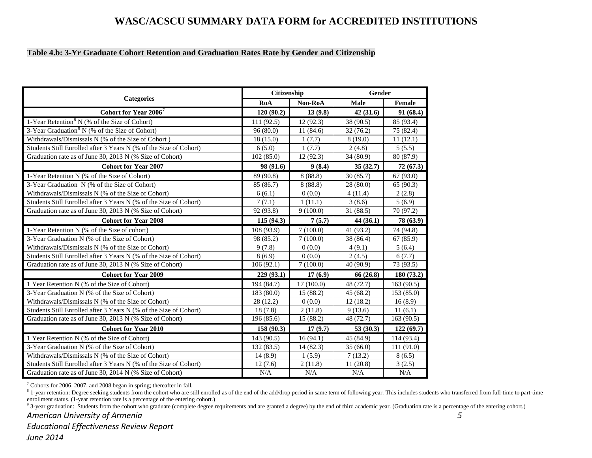#### <span id="page-5-3"></span><span id="page-5-2"></span><span id="page-5-1"></span><span id="page-5-0"></span>**Table 4.b: 3-Yr Graduate Cohort Retention and Graduation Rates Rate by Gender and Citizenship**

|                                                                   | Citizenship |           | Gender    |            |
|-------------------------------------------------------------------|-------------|-----------|-----------|------------|
| <b>Categories</b>                                                 | RoA         | Non-RoA   | Male      | Female     |
| Cohort for Year 2006 <sup>7</sup>                                 | 120(90.2)   | 13(9.8)   | 42(31.6)  | 91(68.4)   |
| 1-Year Retention <sup>8</sup> N (% of the Size of Cohort)         | 111(92.5)   | 12(92.3)  | 38 (90.5) | 85 (93.4)  |
| 3-Year Graduation <sup>9</sup> N (% of the Size of Cohort)        | 96(80.0)    | 11(84.6)  | 32(76.2)  | 75 (82.4)  |
| Withdrawals/Dismissals N (% of the Size of Cohort)                | 18(15.0)    | 1(7.7)    | 8(19.0)   | 11(12.1)   |
| Students Still Enrolled after 3 Years N (% of the Size of Cohort) | 6(5.0)      | 1(7.7)    | 2(4.8)    | 5(5.5)     |
| Graduation rate as of June 30, 2013 N (% Size of Cohort)          | 102(85.0)   | 12(92.3)  | 34 (80.9) | 80 (87.9)  |
| <b>Cohort for Year 2007</b>                                       | 98 (91.6)   | 9(8.4)    | 35(32.7)  | 72 (67.3)  |
| 1-Year Retention N (% of the Size of Cohort)                      | 89 (90.8)   | 8(88.8)   | 30(85.7)  | 67 (93.0)  |
| 3-Year Graduation N (% of the Size of Cohort)                     | 85 (86.7)   | 8(88.8)   | 28 (80.0) | 65(90.3)   |
| Withdrawals/Dismissals N (% of the Size of Cohort)                | 6(6.1)      | 0(0.0)    | 4(11.4)   | 2(2.8)     |
| Students Still Enrolled after 3 Years N (% of the Size of Cohort) | 7(7.1)      | 1(11.1)   | 3(8.6)    | 5(6.9)     |
| Graduation rate as of June 30, 2013 N (% Size of Cohort)          | 92 (93.8)   | 9(100.0)  | 31(88.5)  | 70 (97.2)  |
| <b>Cohort for Year 2008</b>                                       | 115(94.3)   | 7(5.7)    | 44(36.1)  | 78 (63.9)  |
| 1-Year Retention N (% of the Size of cohort)                      | 108 (93.9)  | 7(100.0)  | 41 (93.2) | 74 (94.8)  |
| 3-Year Graduation N (% of the Size of Cohort)                     | 98 (85.2)   | 7(100.0)  | 38 (86.4) | 67(85.9)   |
| Withdrawals/Dismissals N (% of the Size of Cohort)                | 9(7.8)      | 0(0.0)    | 4(9.1)    | 5(6.4)     |
| Students Still Enrolled after 3 Years N (% of the Size of Cohort) | 8(6.9)      | 0(0.0)    | 2(4.5)    | 6(7.7)     |
| Graduation rate as of June 30, 2013 N (% Size of Cohort)          | 106(92.1)   | 7(100.0)  | 40 (90.9) | 73 (93.5)  |
| <b>Cohort for Year 2009</b>                                       | 229 (93.1)  | 17(6.9)   | 66 (26.8) | 180(73.2)  |
| 1 Year Retention N (% of the Size of Cohort)                      | 194 (84.7)  | 17(100.0) | 48 (72.7) | 163(90.5)  |
| 3-Year Graduation N (% of the Size of Cohort)                     | 183 (80.0)  | 15(88.2)  | 45 (68.2) | 153(85.0)  |
| Withdrawals/Dismissals N (% of the Size of Cohort)                | 28(12.2)    | 0(0.0)    | 12(18.2)  | 16(8.9)    |
| Students Still Enrolled after 3 Years N (% of the Size of Cohort) | 18(7.8)     | 2(11.8)   | 9(13.6)   | 11(6.1)    |
| Graduation rate as of June 30, 2013 N (% Size of Cohort)          | 196 (85.6)  | 15(88.2)  | 48 (72.7) | 163 (90.5) |
| <b>Cohort for Year 2010</b>                                       | 158 (90.3)  | 17(9.7)   | 53(30.3)  | 122(69.7)  |
| 1 Year Retention N (% of the Size of Cohort)                      | 143 (90.5)  | 16(94.1)  | 45 (84.9) | 114 (93.4) |
| 3-Year Graduation N (% of the Size of Cohort)                     | 132 (83.5)  | 14 (82.3) | 35(66.0)  | 111(91.0)  |
| Withdrawals/Dismissals N (% of the Size of Cohort)                | 14(8.9)     | 1(5.9)    | 7(13.2)   | 8(6.5)     |
| Students Still Enrolled after 3 Years N (% of the Size of Cohort) | 12(7.6)     | 2(11.8)   | 11(20.8)  | 3(2.5)     |
| Graduation rate as of June 30, 2014 N (% Size of Cohort)          | N/A         | N/A       | N/A       | N/A        |

7 Cohorts for 2006, 2007, and 2008 began in spring; thereafter in fall.

<sup>8</sup> 1-year retention: Degree seeking students from the cohort who are still enrolled as of the end of the add/drop period in same term of following year. This includes students who transferred from full-time to part-time enrollment status. (1-year retention rate is a percentage of the entering cohort.)<br><sup>9</sup> 3-year graduation: Students from the cohort who graduate (complete degree requirements and are granted a degree) by the end of third ac

#### *American University of Armenia 5*